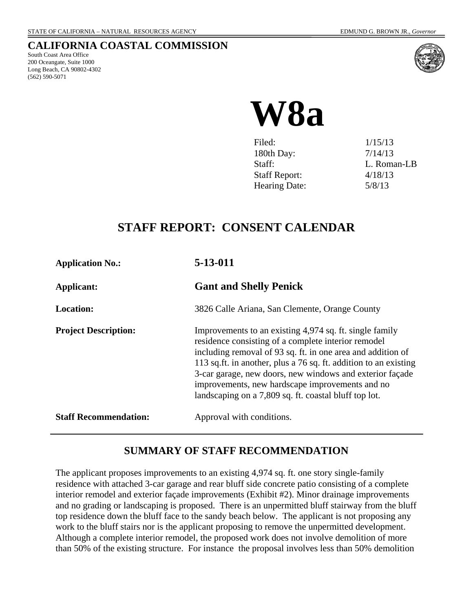# **CALIFORNIA COASTAL COMMISSION**

South Coast Area Office 200 Oceangate, Suite 1000 Long Beach, CA 90802-4302 (562) 590-5071



# **W8a**

| Filed:               | 1/15/13     |
|----------------------|-------------|
| 180th Day:           | 7/14/13     |
| Staff:               | L. Roman-LB |
| <b>Staff Report:</b> | 4/18/13     |
| <b>Hearing Date:</b> | 5/8/13      |
|                      |             |

# **STAFF REPORT: CONSENT CALENDAR**

| <b>Application No.:</b>      | 5-13-011                                                                                                                                                                                                                                                                                                                                                                                                                  |
|------------------------------|---------------------------------------------------------------------------------------------------------------------------------------------------------------------------------------------------------------------------------------------------------------------------------------------------------------------------------------------------------------------------------------------------------------------------|
| <b>Applicant:</b>            | <b>Gant and Shelly Penick</b>                                                                                                                                                                                                                                                                                                                                                                                             |
| <b>Location:</b>             | 3826 Calle Ariana, San Clemente, Orange County                                                                                                                                                                                                                                                                                                                                                                            |
| <b>Project Description:</b>  | Improvements to an existing 4,974 sq. ft. single family<br>residence consisting of a complete interior remodel<br>including removal of 93 sq. ft. in one area and addition of<br>113 sq.ft. in another, plus a 76 sq. ft. addition to an existing<br>3-car garage, new doors, new windows and exterior façade<br>improvements, new hardscape improvements and no<br>landscaping on a 7,809 sq. ft. coastal bluff top lot. |
| <b>Staff Recommendation:</b> | Approval with conditions.                                                                                                                                                                                                                                                                                                                                                                                                 |

# **SUMMARY OF STAFF RECOMMENDATION**

The applicant proposes improvements to an existing 4,974 sq. ft. one story single-family residence with attached 3-car garage and rear bluff side concrete patio consisting of a complete interior remodel and exterior façade improvements (Exhibit #2). Minor drainage improvements and no grading or landscaping is proposed. There is an unpermitted bluff stairway from the bluff top residence down the bluff face to the sandy beach below. The applicant is not proposing any work to the bluff stairs nor is the applicant proposing to remove the unpermitted development. Although a complete interior remodel, the proposed work does not involve demolition of more than 50% of the existing structure. For instance the proposal involves less than 50% demolition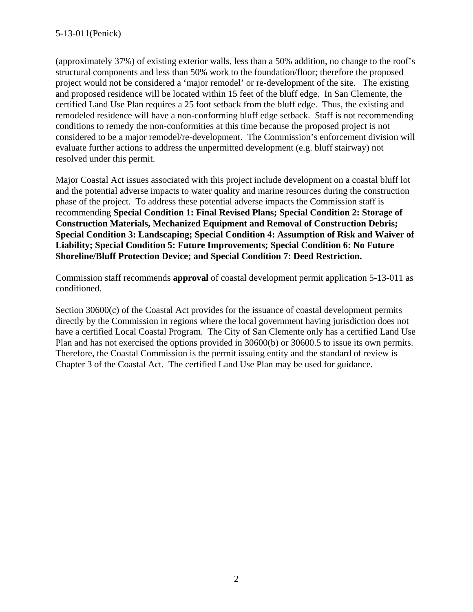(approximately 37%) of existing exterior walls, less than a 50% addition, no change to the roof's structural components and less than 50% work to the foundation/floor; therefore the proposed project would not be considered a 'major remodel' or re-development of the site. The existing and proposed residence will be located within 15 feet of the bluff edge. In San Clemente, the certified Land Use Plan requires a 25 foot setback from the bluff edge. Thus, the existing and remodeled residence will have a non-conforming bluff edge setback. Staff is not recommending conditions to remedy the non-conformities at this time because the proposed project is not considered to be a major remodel/re-development. The Commission's enforcement division will evaluate further actions to address the unpermitted development (e.g. bluff stairway) not resolved under this permit.

Major Coastal Act issues associated with this project include development on a coastal bluff lot and the potential adverse impacts to water quality and marine resources during the construction phase of the project. To address these potential adverse impacts the Commission staff is recommending **Special Condition 1: Final Revised Plans; Special Condition 2: Storage of Construction Materials, Mechanized Equipment and Removal of Construction Debris; Special Condition 3: Landscaping; Special Condition 4: Assumption of Risk and Waiver of Liability; Special Condition 5: Future Improvements; Special Condition 6: No Future Shoreline/Bluff Protection Device; and Special Condition 7: Deed Restriction.**

Commission staff recommends **approval** of coastal development permit application 5-13-011 as conditioned.

Section 30600(c) of the Coastal Act provides for the issuance of coastal development permits directly by the Commission in regions where the local government having jurisdiction does not have a certified Local Coastal Program. The City of San Clemente only has a certified Land Use Plan and has not exercised the options provided in 30600(b) or 30600.5 to issue its own permits. Therefore, the Coastal Commission is the permit issuing entity and the standard of review is Chapter 3 of the Coastal Act. The certified Land Use Plan may be used for guidance.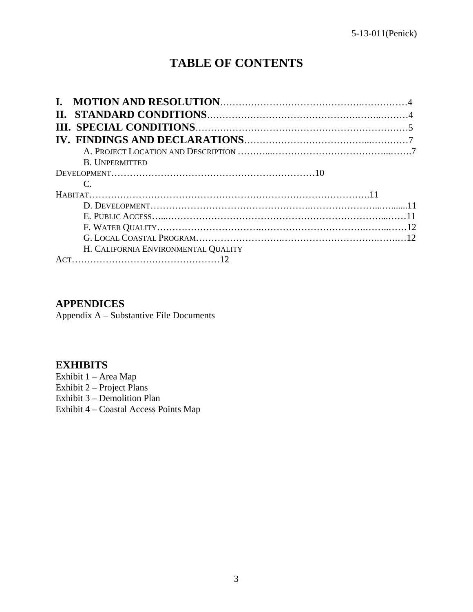# **TABLE OF CONTENTS**

| <b>B. UNPERMITTED</b>               |  |
|-------------------------------------|--|
|                                     |  |
|                                     |  |
|                                     |  |
|                                     |  |
|                                     |  |
|                                     |  |
|                                     |  |
| H. CALIFORNIA ENVIRONMENTAL QUALITY |  |
|                                     |  |

# **APPENDICES**

Appendix A – Substantive File Documents

## **EXHIBITS**

Exhibit 1 – Area Map Exhibit 2 – Project Plans Exhibit 3 – Demolition Plan Exhibit 4 – Coastal Access Points Map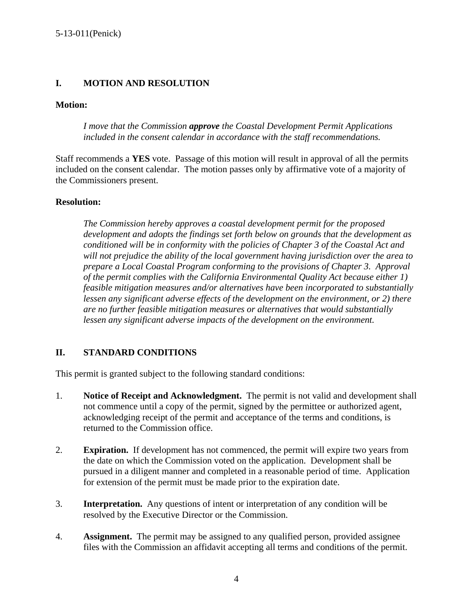#### **I. MOTION AND RESOLUTION**

#### **Motion:**

*I move that the Commission approve the Coastal Development Permit Applications included in the consent calendar in accordance with the staff recommendations.*

Staff recommends a **YES** vote. Passage of this motion will result in approval of all the permits included on the consent calendar. The motion passes only by affirmative vote of a majority of the Commissioners present.

#### **Resolution:**

*The Commission hereby approves a coastal development permit for the proposed development and adopts the findings set forth below on grounds that the development as conditioned will be in conformity with the policies of Chapter 3 of the Coastal Act and will not prejudice the ability of the local government having jurisdiction over the area to prepare a Local Coastal Program conforming to the provisions of Chapter 3. Approval of the permit complies with the California Environmental Quality Act because either 1) feasible mitigation measures and/or alternatives have been incorporated to substantially lessen any significant adverse effects of the development on the environment, or 2) there are no further feasible mitigation measures or alternatives that would substantially lessen any significant adverse impacts of the development on the environment.*

#### **II. STANDARD CONDITIONS**

This permit is granted subject to the following standard conditions:

- 1. **Notice of Receipt and Acknowledgment.** The permit is not valid and development shall not commence until a copy of the permit, signed by the permittee or authorized agent, acknowledging receipt of the permit and acceptance of the terms and conditions, is returned to the Commission office.
- 2. **Expiration.** If development has not commenced, the permit will expire two years from the date on which the Commission voted on the application. Development shall be pursued in a diligent manner and completed in a reasonable period of time. Application for extension of the permit must be made prior to the expiration date.
- 3. **Interpretation.** Any questions of intent or interpretation of any condition will be resolved by the Executive Director or the Commission.
- 4. **Assignment.** The permit may be assigned to any qualified person, provided assignee files with the Commission an affidavit accepting all terms and conditions of the permit.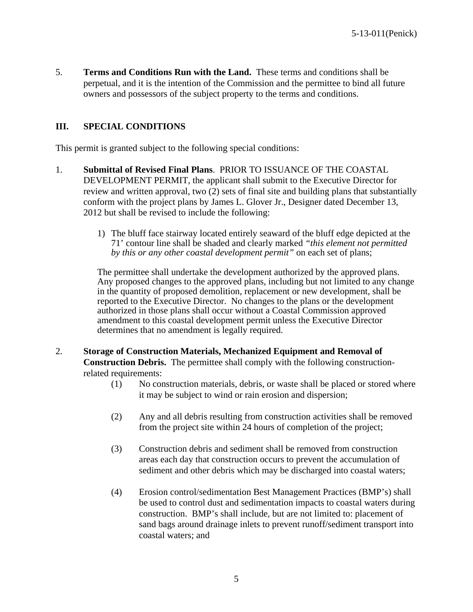5. **Terms and Conditions Run with the Land.** These terms and conditions shall be perpetual, and it is the intention of the Commission and the permittee to bind all future owners and possessors of the subject property to the terms and conditions.

#### **III. SPECIAL CONDITIONS**

This permit is granted subject to the following special conditions:

- 1. **Submittal of Revised Final Plans**. PRIOR TO ISSUANCE OF THE COASTAL DEVELOPMENT PERMIT, the applicant shall submit to the Executive Director for review and written approval, two (2) sets of final site and building plans that substantially conform with the project plans by James L. Glover Jr., Designer dated December 13, 2012 but shall be revised to include the following:
	- 1) The bluff face stairway located entirely seaward of the bluff edge depicted at the 71' contour line shall be shaded and clearly marked *"this element not permitted by this or any other coastal development permit"* on each set of plans;

The permittee shall undertake the development authorized by the approved plans. Any proposed changes to the approved plans, including but not limited to any change in the quantity of proposed demolition, replacement or new development, shall be reported to the Executive Director. No changes to the plans or the development authorized in those plans shall occur without a Coastal Commission approved amendment to this coastal development permit unless the Executive Director determines that no amendment is legally required.

- 2. **Storage of Construction Materials, Mechanized Equipment and Removal of Construction Debris.** The permittee shall comply with the following constructionrelated requirements:
	- (1) No construction materials, debris, or waste shall be placed or stored where it may be subject to wind or rain erosion and dispersion;
	- (2) Any and all debris resulting from construction activities shall be removed from the project site within 24 hours of completion of the project;
	- (3) Construction debris and sediment shall be removed from construction areas each day that construction occurs to prevent the accumulation of sediment and other debris which may be discharged into coastal waters;
	- (4) Erosion control/sedimentation Best Management Practices (BMP's) shall be used to control dust and sedimentation impacts to coastal waters during construction. BMP's shall include, but are not limited to: placement of sand bags around drainage inlets to prevent runoff/sediment transport into coastal waters; and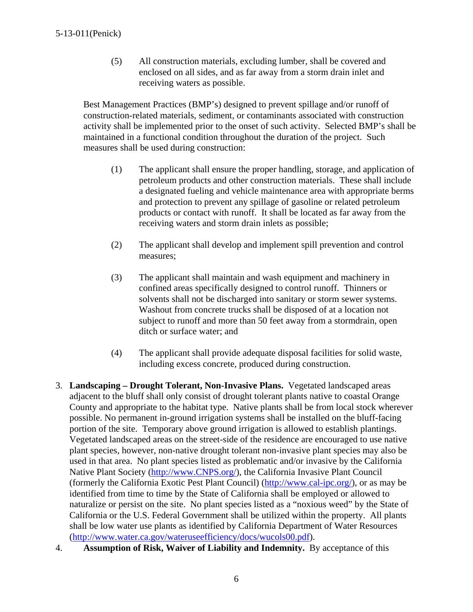(5) All construction materials, excluding lumber, shall be covered and enclosed on all sides, and as far away from a storm drain inlet and receiving waters as possible.

Best Management Practices (BMP's) designed to prevent spillage and/or runoff of construction-related materials, sediment, or contaminants associated with construction activity shall be implemented prior to the onset of such activity. Selected BMP's shall be maintained in a functional condition throughout the duration of the project. Such measures shall be used during construction:

- (1) The applicant shall ensure the proper handling, storage, and application of petroleum products and other construction materials. These shall include a designated fueling and vehicle maintenance area with appropriate berms and protection to prevent any spillage of gasoline or related petroleum products or contact with runoff. It shall be located as far away from the receiving waters and storm drain inlets as possible;
- (2) The applicant shall develop and implement spill prevention and control measures;
- (3) The applicant shall maintain and wash equipment and machinery in confined areas specifically designed to control runoff. Thinners or solvents shall not be discharged into sanitary or storm sewer systems. Washout from concrete trucks shall be disposed of at a location not subject to runoff and more than 50 feet away from a stormdrain, open ditch or surface water; and
- (4) The applicant shall provide adequate disposal facilities for solid waste, including excess concrete, produced during construction.
- 3. **Landscaping – Drought Tolerant, Non-Invasive Plans.** Vegetated landscaped areas adjacent to the bluff shall only consist of drought tolerant plants native to coastal Orange County and appropriate to the habitat type. Native plants shall be from local stock wherever possible. No permanent in-ground irrigation systems shall be installed on the bluff-facing portion of the site. Temporary above ground irrigation is allowed to establish plantings. Vegetated landscaped areas on the street-side of the residence are encouraged to use native plant species, however, non-native drought tolerant non-invasive plant species may also be used in that area. No plant species listed as problematic and/or invasive by the California Native Plant Society [\(http://www.CNPS.org/\)](http://www.cnps.org/), the California Invasive Plant Council (formerly the California Exotic Pest Plant Council) [\(http://www.cal-ipc.org/\)](http://www.cal-ipc.org/), or as may be identified from time to time by the State of California shall be employed or allowed to naturalize or persist on the site. No plant species listed as a "noxious weed" by the State of California or the U.S. Federal Government shall be utilized within the property. All plants shall be low water use plants as identified by California Department of Water Resources [\(http://www.water.ca.gov/wateruseefficiency/docs/wucols00.pdf\)](http://www.water.ca.gov/wateruseefficiency/docs/wucols00.pdf).
- 4. **Assumption of Risk, Waiver of Liability and Indemnity.** By acceptance of this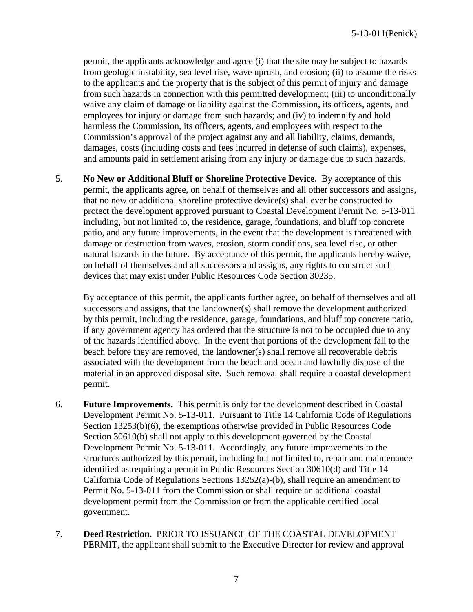permit, the applicants acknowledge and agree (i) that the site may be subject to hazards from geologic instability, sea level rise, wave uprush, and erosion; (ii) to assume the risks to the applicants and the property that is the subject of this permit of injury and damage from such hazards in connection with this permitted development; (iii) to unconditionally waive any claim of damage or liability against the Commission, its officers, agents, and employees for injury or damage from such hazards; and (iv) to indemnify and hold harmless the Commission, its officers, agents, and employees with respect to the Commission's approval of the project against any and all liability, claims, demands, damages, costs (including costs and fees incurred in defense of such claims), expenses, and amounts paid in settlement arising from any injury or damage due to such hazards.

5. **No New or Additional Bluff or Shoreline Protective Device.** By acceptance of this permit, the applicants agree, on behalf of themselves and all other successors and assigns, that no new or additional shoreline protective device(s) shall ever be constructed to protect the development approved pursuant to Coastal Development Permit No. 5-13-011 including, but not limited to, the residence, garage, foundations, and bluff top concrete patio, and any future improvements, in the event that the development is threatened with damage or destruction from waves, erosion, storm conditions, sea level rise, or other natural hazards in the future. By acceptance of this permit, the applicants hereby waive, on behalf of themselves and all successors and assigns, any rights to construct such devices that may exist under Public Resources Code Section 30235.

By acceptance of this permit, the applicants further agree, on behalf of themselves and all successors and assigns, that the landowner(s) shall remove the development authorized by this permit, including the residence, garage, foundations, and bluff top concrete patio, if any government agency has ordered that the structure is not to be occupied due to any of the hazards identified above. In the event that portions of the development fall to the beach before they are removed, the landowner(s) shall remove all recoverable debris associated with the development from the beach and ocean and lawfully dispose of the material in an approved disposal site. Such removal shall require a coastal development permit.

- 6. **Future Improvements.** This permit is only for the development described in Coastal Development Permit No. 5-13-011. Pursuant to Title 14 California Code of Regulations Section 13253(b)(6), the exemptions otherwise provided in Public Resources Code Section 30610(b) shall not apply to this development governed by the Coastal Development Permit No. 5-13-011. Accordingly, any future improvements to the structures authorized by this permit, including but not limited to, repair and maintenance identified as requiring a permit in Public Resources Section 30610(d) and Title 14 California Code of Regulations Sections 13252(a)-(b), shall require an amendment to Permit No. 5-13-011 from the Commission or shall require an additional coastal development permit from the Commission or from the applicable certified local government.
- 7. **Deed Restriction.** PRIOR TO ISSUANCE OF THE COASTAL DEVELOPMENT PERMIT, the applicant shall submit to the Executive Director for review and approval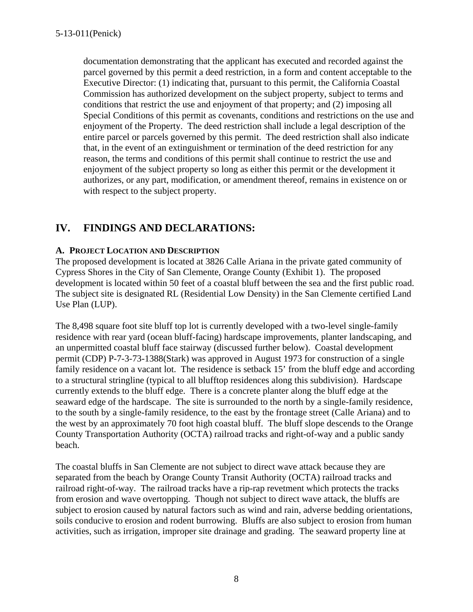documentation demonstrating that the applicant has executed and recorded against the parcel governed by this permit a deed restriction, in a form and content acceptable to the Executive Director: (1) indicating that, pursuant to this permit, the California Coastal Commission has authorized development on the subject property, subject to terms and conditions that restrict the use and enjoyment of that property; and (2) imposing all Special Conditions of this permit as covenants, conditions and restrictions on the use and enjoyment of the Property. The deed restriction shall include a legal description of the entire parcel or parcels governed by this permit. The deed restriction shall also indicate that, in the event of an extinguishment or termination of the deed restriction for any reason, the terms and conditions of this permit shall continue to restrict the use and enjoyment of the subject property so long as either this permit or the development it authorizes, or any part, modification, or amendment thereof, remains in existence on or with respect to the subject property.

# **IV. FINDINGS AND DECLARATIONS:**

#### **A. PROJECT LOCATION AND DESCRIPTION**

The proposed development is located at 3826 Calle Ariana in the private gated community of Cypress Shores in the City of San Clemente, Orange County (Exhibit 1). The proposed development is located within 50 feet of a coastal bluff between the sea and the first public road. The subject site is designated RL (Residential Low Density) in the San Clemente certified Land Use Plan (LUP).

The 8,498 square foot site bluff top lot is currently developed with a two-level single-family residence with rear yard (ocean bluff-facing) hardscape improvements, planter landscaping, and an unpermitted coastal bluff face stairway (discussed further below). Coastal development permit (CDP) P-7-3-73-1388(Stark) was approved in August 1973 for construction of a single family residence on a vacant lot. The residence is setback 15' from the bluff edge and according to a structural stringline (typical to all blufftop residences along this subdivision). Hardscape currently extends to the bluff edge. There is a concrete planter along the bluff edge at the seaward edge of the hardscape. The site is surrounded to the north by a single-family residence, to the south by a single-family residence, to the east by the frontage street (Calle Ariana) and to the west by an approximately 70 foot high coastal bluff. The bluff slope descends to the Orange County Transportation Authority (OCTA) railroad tracks and right-of-way and a public sandy beach.

The coastal bluffs in San Clemente are not subject to direct wave attack because they are separated from the beach by Orange County Transit Authority (OCTA) railroad tracks and railroad right-of-way. The railroad tracks have a rip-rap revetment which protects the tracks from erosion and wave overtopping. Though not subject to direct wave attack, the bluffs are subject to erosion caused by natural factors such as wind and rain, adverse bedding orientations, soils conducive to erosion and rodent burrowing. Bluffs are also subject to erosion from human activities, such as irrigation, improper site drainage and grading. The seaward property line at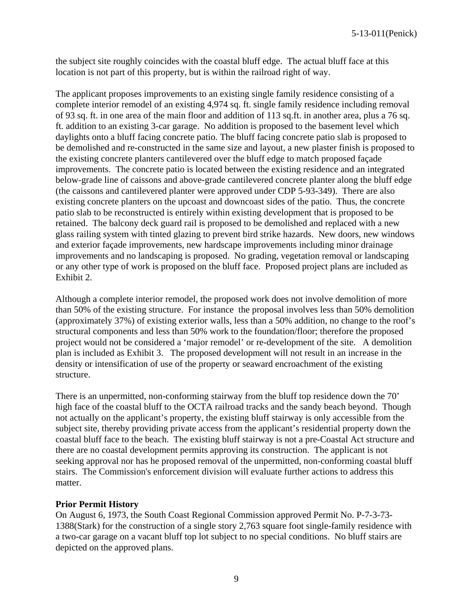the subject site roughly coincides with the coastal bluff edge. The actual bluff face at this location is not part of this property, but is within the railroad right of way.

The applicant proposes improvements to an existing single family residence consisting of a complete interior remodel of an existing 4,974 sq. ft. single family residence including removal of 93 sq. ft. in one area of the main floor and addition of 113 sq.ft. in another area, plus a 76 sq. ft. addition to an existing 3-car garage. No addition is proposed to the basement level which daylights onto a bluff facing concrete patio. The bluff facing concrete patio slab is proposed to be demolished and re-constructed in the same size and layout, a new plaster finish is proposed to the existing concrete planters cantilevered over the bluff edge to match proposed façade improvements. The concrete patio is located between the existing residence and an integrated below-grade line of caissons and above-grade cantilevered concrete planter along the bluff edge (the caissons and cantilevered planter were approved under CDP 5-93-349). There are also existing concrete planters on the upcoast and downcoast sides of the patio. Thus, the concrete patio slab to be reconstructed is entirely within existing development that is proposed to be retained. The balcony deck guard rail is proposed to be demolished and replaced with a new glass railing system with tinted glazing to prevent bird strike hazards. New doors, new windows and exterior façade improvements, new hardscape improvements including minor drainage improvements and no landscaping is proposed. No grading, vegetation removal or landscaping or any other type of work is proposed on the bluff face. Proposed project plans are included as Exhibit 2.

Although a complete interior remodel, the proposed work does not involve demolition of more than 50% of the existing structure. For instance the proposal involves less than 50% demolition (approximately 37%) of existing exterior walls, less than a 50% addition, no change to the roof's structural components and less than 50% work to the foundation/floor; therefore the proposed project would not be considered a 'major remodel' or re-development of the site. A demolition plan is included as Exhibit 3. The proposed development will not result in an increase in the density or intensification of use of the property or seaward encroachment of the existing structure.

There is an unpermitted, non-conforming stairway from the bluff top residence down the 70' high face of the coastal bluff to the OCTA railroad tracks and the sandy beach beyond. Though not actually on the applicant's property, the existing bluff stairway is only accessible from the subject site, thereby providing private access from the applicant's residential property down the coastal bluff face to the beach. The existing bluff stairway is not a pre-Coastal Act structure and there are no coastal development permits approving its construction. The applicant is not seeking approval nor has he proposed removal of the unpermitted, non-conforming coastal bluff stairs. The Commission's enforcement division will evaluate further actions to address this matter.

#### **Prior Permit History**

On August 6, 1973, the South Coast Regional Commission approved Permit No. P-7-3-73- 1388(Stark) for the construction of a single story 2,763 square foot single-family residence with a two-car garage on a vacant bluff top lot subject to no special conditions. No bluff stairs are depicted on the approved plans.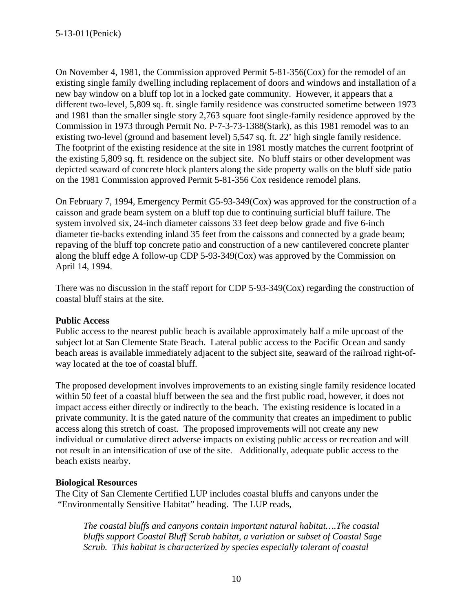On November 4, 1981, the Commission approved Permit 5-81-356(Cox) for the remodel of an existing single family dwelling including replacement of doors and windows and installation of a new bay window on a bluff top lot in a locked gate community. However, it appears that a different two-level, 5,809 sq. ft. single family residence was constructed sometime between 1973 and 1981 than the smaller single story 2,763 square foot single-family residence approved by the Commission in 1973 through Permit No. P-7-3-73-1388(Stark), as this 1981 remodel was to an existing two-level (ground and basement level) 5,547 sq. ft. 22' high single family residence. The footprint of the existing residence at the site in 1981 mostly matches the current footprint of the existing 5,809 sq. ft. residence on the subject site. No bluff stairs or other development was depicted seaward of concrete block planters along the side property walls on the bluff side patio on the 1981 Commission approved Permit 5-81-356 Cox residence remodel plans.

On February 7, 1994, Emergency Permit G5-93-349(Cox) was approved for the construction of a caisson and grade beam system on a bluff top due to continuing surficial bluff failure. The system involved six, 24-inch diameter caissons 33 feet deep below grade and five 6-inch diameter tie-backs extending inland 35 feet from the caissons and connected by a grade beam; repaving of the bluff top concrete patio and construction of a new cantilevered concrete planter along the bluff edge A follow-up CDP 5-93-349(Cox) was approved by the Commission on April 14, 1994.

There was no discussion in the staff report for CDP 5-93-349(Cox) regarding the construction of coastal bluff stairs at the site.

#### **Public Access**

Public access to the nearest public beach is available approximately half a mile upcoast of the subject lot at San Clemente State Beach. Lateral public access to the Pacific Ocean and sandy beach areas is available immediately adjacent to the subject site, seaward of the railroad right-ofway located at the toe of coastal bluff.

The proposed development involves improvements to an existing single family residence located within 50 feet of a coastal bluff between the sea and the first public road, however, it does not impact access either directly or indirectly to the beach. The existing residence is located in a private community. It is the gated nature of the community that creates an impediment to public access along this stretch of coast. The proposed improvements will not create any new individual or cumulative direct adverse impacts on existing public access or recreation and will not result in an intensification of use of the site. Additionally, adequate public access to the beach exists nearby.

#### **Biological Resources**

The City of San Clemente Certified LUP includes coastal bluffs and canyons under the "Environmentally Sensitive Habitat" heading. The LUP reads,

*The coastal bluffs and canyons contain important natural habitat….The coastal bluffs support Coastal Bluff Scrub habitat, a variation or subset of Coastal Sage Scrub. This habitat is characterized by species especially tolerant of coastal*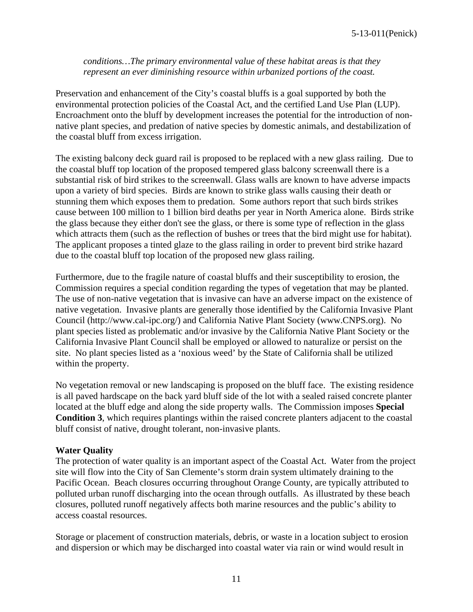#### *conditions…The primary environmental value of these habitat areas is that they represent an ever diminishing resource within urbanized portions of the coast.*

Preservation and enhancement of the City's coastal bluffs is a goal supported by both the environmental protection policies of the Coastal Act, and the certified Land Use Plan (LUP). Encroachment onto the bluff by development increases the potential for the introduction of nonnative plant species, and predation of native species by domestic animals, and destabilization of the coastal bluff from excess irrigation.

The existing balcony deck guard rail is proposed to be replaced with a new glass railing. Due to the coastal bluff top location of the proposed tempered glass balcony screenwall there is a substantial risk of bird strikes to the screenwall. Glass walls are known to have adverse impacts upon a variety of bird species. Birds are known to strike glass walls causing their death or stunning them which exposes them to predation. Some authors report that such birds strikes cause between 100 million to 1 billion bird deaths per year in North America alone. Birds strike the glass because they either don't see the glass, or there is some type of reflection in the glass which attracts them (such as the reflection of bushes or trees that the bird might use for habitat). The applicant proposes a tinted glaze to the glass railing in order to prevent bird strike hazard due to the coastal bluff top location of the proposed new glass railing.

Furthermore, due to the fragile nature of coastal bluffs and their susceptibility to erosion, the Commission requires a special condition regarding the types of vegetation that may be planted. The use of non-native vegetation that is invasive can have an adverse impact on the existence of native vegetation. Invasive plants are generally those identified by the California Invasive Plant Council (http://www.cal-ipc.org/) and California Native Plant Society (www.CNPS.org). No plant species listed as problematic and/or invasive by the California Native Plant Society or the California Invasive Plant Council shall be employed or allowed to naturalize or persist on the site. No plant species listed as a 'noxious weed' by the State of California shall be utilized within the property.

No vegetation removal or new landscaping is proposed on the bluff face. The existing residence is all paved hardscape on the back yard bluff side of the lot with a sealed raised concrete planter located at the bluff edge and along the side property walls. The Commission imposes **Special Condition 3**, which requires plantings within the raised concrete planters adjacent to the coastal bluff consist of native, drought tolerant, non-invasive plants.

#### **Water Quality**

The protection of water quality is an important aspect of the Coastal Act. Water from the project site will flow into the City of San Clemente's storm drain system ultimately draining to the Pacific Ocean. Beach closures occurring throughout Orange County, are typically attributed to polluted urban runoff discharging into the ocean through outfalls. As illustrated by these beach closures, polluted runoff negatively affects both marine resources and the public's ability to access coastal resources.

Storage or placement of construction materials, debris, or waste in a location subject to erosion and dispersion or which may be discharged into coastal water via rain or wind would result in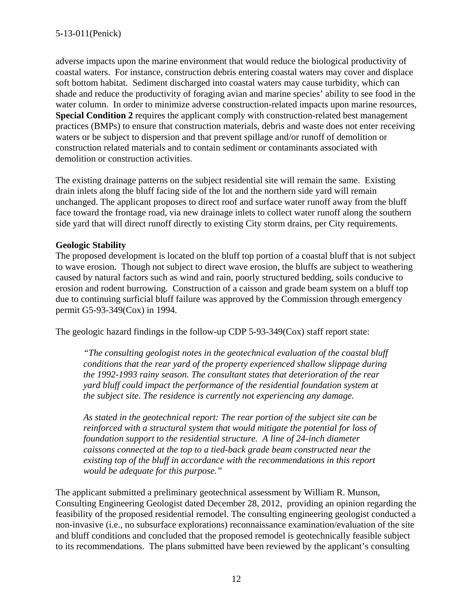adverse impacts upon the marine environment that would reduce the biological productivity of coastal waters. For instance, construction debris entering coastal waters may cover and displace soft bottom habitat. Sediment discharged into coastal waters may cause turbidity, which can shade and reduce the productivity of foraging avian and marine species' ability to see food in the water column. In order to minimize adverse construction-related impacts upon marine resources, **Special Condition 2** requires the applicant comply with construction-related best management practices (BMPs) to ensure that construction materials, debris and waste does not enter receiving waters or be subject to dispersion and that prevent spillage and/or runoff of demolition or construction related materials and to contain sediment or contaminants associated with demolition or construction activities.

The existing drainage patterns on the subject residential site will remain the same. Existing drain inlets along the bluff facing side of the lot and the northern side yard will remain unchanged. The applicant proposes to direct roof and surface water runoff away from the bluff face toward the frontage road, via new drainage inlets to collect water runoff along the southern side yard that will direct runoff directly to existing City storm drains, per City requirements.

#### **Geologic Stability**

The proposed development is located on the bluff top portion of a coastal bluff that is not subject to wave erosion. Though not subject to direct wave erosion, the bluffs are subject to weathering caused by natural factors such as wind and rain, poorly structured bedding, soils conducive to erosion and rodent burrowing. Construction of a caisson and grade beam system on a bluff top due to continuing surficial bluff failure was approved by the Commission through emergency permit G5-93-349(Cox) in 1994.

The geologic hazard findings in the follow-up CDP 5-93-349(Cox) staff report state:

*"The consulting geologist notes in the geotechnical evaluation of the coastal bluff conditions that the rear yard of the property experienced shallow slippage during the 1992-1993 rainy season. The consultant states that deterioration of the rear yard bluff could impact the performance of the residential foundation system at the subject site. The residence is currently not experiencing any damage.*

*As stated in the geotechnical report: The rear portion of the subject site can be reinforced with a structural system that would mitigate the potential for loss of foundation support to the residential structure. A line of 24-inch diameter caissons connected at the top to a tied-back grade beam constructed near the existing top of the bluff in accordance with the recommendations in this report would be adequate for this purpose."*

The applicant submitted a preliminary geotechnical assessment by William R. Munson, Consulting Engineering Geologist dated December 28, 2012, providing an opinion regarding the feasibility of the proposed residential remodel. The consulting engineering geologist conducted a non-invasive (i.e., no subsurface explorations) reconnaissance examination/evaluation of the site and bluff conditions and concluded that the proposed remodel is geotechnically feasible subject to its recommendations. The plans submitted have been reviewed by the applicant's consulting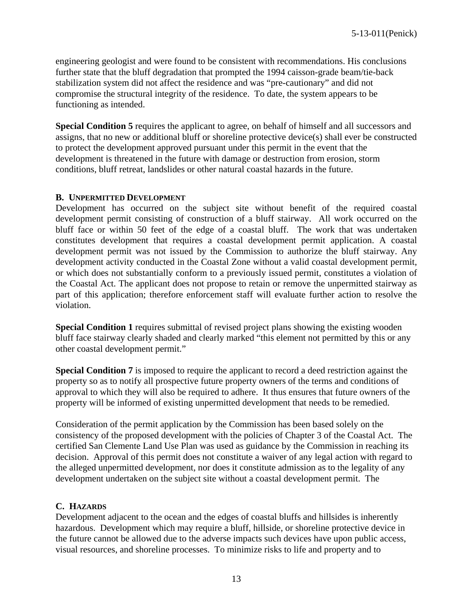engineering geologist and were found to be consistent with recommendations. His conclusions further state that the bluff degradation that prompted the 1994 caisson-grade beam/tie-back stabilization system did not affect the residence and was "pre-cautionary" and did not compromise the structural integrity of the residence. To date, the system appears to be functioning as intended.

**Special Condition 5** requires the applicant to agree, on behalf of himself and all successors and assigns, that no new or additional bluff or shoreline protective device(s) shall ever be constructed to protect the development approved pursuant under this permit in the event that the development is threatened in the future with damage or destruction from erosion, storm conditions, bluff retreat, landslides or other natural coastal hazards in the future.

#### **B. UNPERMITTED DEVELOPMENT**

Development has occurred on the subject site without benefit of the required coastal development permit consisting of construction of a bluff stairway. All work occurred on the bluff face or within 50 feet of the edge of a coastal bluff. The work that was undertaken constitutes development that requires a coastal development permit application. A coastal development permit was not issued by the Commission to authorize the bluff stairway. Any development activity conducted in the Coastal Zone without a valid coastal development permit, or which does not substantially conform to a previously issued permit, constitutes a violation of the Coastal Act. The applicant does not propose to retain or remove the unpermitted stairway as part of this application; therefore enforcement staff will evaluate further action to resolve the violation.

**Special Condition 1** requires submittal of revised project plans showing the existing wooden bluff face stairway clearly shaded and clearly marked "this element not permitted by this or any other coastal development permit."

**Special Condition 7** is imposed to require the applicant to record a deed restriction against the property so as to notify all prospective future property owners of the terms and conditions of approval to which they will also be required to adhere. It thus ensures that future owners of the property will be informed of existing unpermitted development that needs to be remedied.

Consideration of the permit application by the Commission has been based solely on the consistency of the proposed development with the policies of Chapter 3 of the Coastal Act. The certified San Clemente Land Use Plan was used as guidance by the Commission in reaching its decision. Approval of this permit does not constitute a waiver of any legal action with regard to the alleged unpermitted development, nor does it constitute admission as to the legality of any development undertaken on the subject site without a coastal development permit. The

#### **C. HAZARDS**

Development adjacent to the ocean and the edges of coastal bluffs and hillsides is inherently hazardous. Development which may require a bluff, hillside, or shoreline protective device in the future cannot be allowed due to the adverse impacts such devices have upon public access, visual resources, and shoreline processes. To minimize risks to life and property and to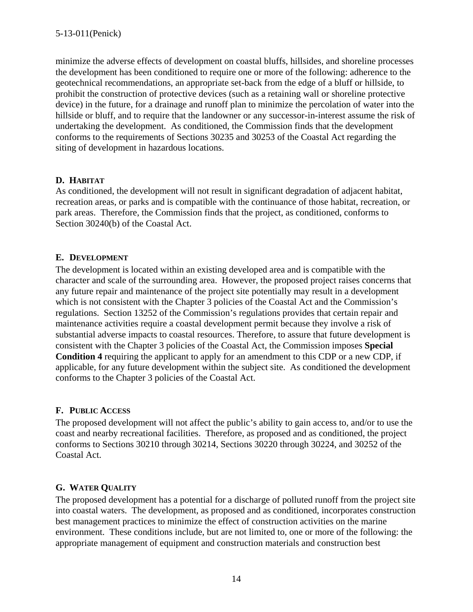minimize the adverse effects of development on coastal bluffs, hillsides, and shoreline processes the development has been conditioned to require one or more of the following: adherence to the geotechnical recommendations, an appropriate set-back from the edge of a bluff or hillside, to prohibit the construction of protective devices (such as a retaining wall or shoreline protective device) in the future, for a drainage and runoff plan to minimize the percolation of water into the hillside or bluff, and to require that the landowner or any successor-in-interest assume the risk of undertaking the development. As conditioned, the Commission finds that the development conforms to the requirements of Sections 30235 and 30253 of the Coastal Act regarding the siting of development in hazardous locations.

#### **D. HABITAT**

As conditioned, the development will not result in significant degradation of adjacent habitat, recreation areas, or parks and is compatible with the continuance of those habitat, recreation, or park areas. Therefore, the Commission finds that the project, as conditioned, conforms to Section 30240(b) of the Coastal Act.

#### **E. DEVELOPMENT**

The development is located within an existing developed area and is compatible with the character and scale of the surrounding area. However, the proposed project raises concerns that any future repair and maintenance of the project site potentially may result in a development which is not consistent with the Chapter 3 policies of the Coastal Act and the Commission's regulations. Section 13252 of the Commission's regulations provides that certain repair and maintenance activities require a coastal development permit because they involve a risk of substantial adverse impacts to coastal resources. Therefore, to assure that future development is consistent with the Chapter 3 policies of the Coastal Act, the Commission imposes **Special Condition 4** requiring the applicant to apply for an amendment to this CDP or a new CDP, if applicable, for any future development within the subject site. As conditioned the development conforms to the Chapter 3 policies of the Coastal Act.

## **F. PUBLIC ACCESS**

The proposed development will not affect the public's ability to gain access to, and/or to use the coast and nearby recreational facilities. Therefore, as proposed and as conditioned, the project conforms to Sections 30210 through 30214, Sections 30220 through 30224, and 30252 of the Coastal Act.

## **G. WATER QUALITY**

The proposed development has a potential for a discharge of polluted runoff from the project site into coastal waters. The development, as proposed and as conditioned, incorporates construction best management practices to minimize the effect of construction activities on the marine environment. These conditions include, but are not limited to, one or more of the following: the appropriate management of equipment and construction materials and construction best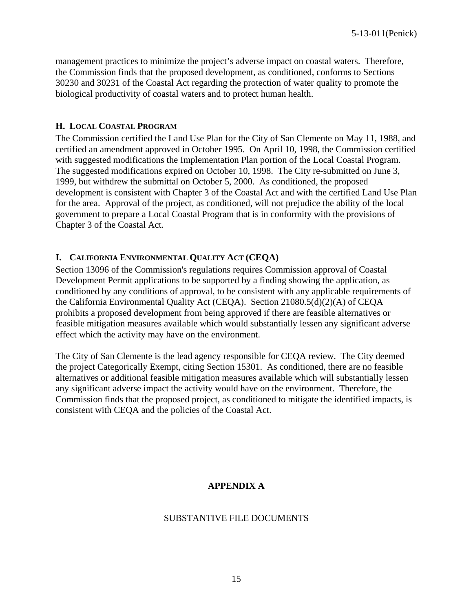management practices to minimize the project's adverse impact on coastal waters. Therefore, the Commission finds that the proposed development, as conditioned, conforms to Sections 30230 and 30231 of the Coastal Act regarding the protection of water quality to promote the biological productivity of coastal waters and to protect human health.

#### **H. LOCAL COASTAL PROGRAM**

The Commission certified the Land Use Plan for the City of San Clemente on May 11, 1988, and certified an amendment approved in October 1995. On April 10, 1998, the Commission certified with suggested modifications the Implementation Plan portion of the Local Coastal Program. The suggested modifications expired on October 10, 1998. The City re-submitted on June 3, 1999, but withdrew the submittal on October 5, 2000. As conditioned, the proposed development is consistent with Chapter 3 of the Coastal Act and with the certified Land Use Plan for the area. Approval of the project, as conditioned, will not prejudice the ability of the local government to prepare a Local Coastal Program that is in conformity with the provisions of Chapter 3 of the Coastal Act.

#### **I. CALIFORNIA ENVIRONMENTAL QUALITY ACT (CEQA)**

Section 13096 of the Commission's regulations requires Commission approval of Coastal Development Permit applications to be supported by a finding showing the application, as conditioned by any conditions of approval, to be consistent with any applicable requirements of the California Environmental Quality Act (CEQA). Section 21080.5(d)(2)(A) of CEQA prohibits a proposed development from being approved if there are feasible alternatives or feasible mitigation measures available which would substantially lessen any significant adverse effect which the activity may have on the environment.

The City of San Clemente is the lead agency responsible for CEQA review. The City deemed the project Categorically Exempt, citing Section 15301. As conditioned, there are no feasible alternatives or additional feasible mitigation measures available which will substantially lessen any significant adverse impact the activity would have on the environment. Therefore, the Commission finds that the proposed project, as conditioned to mitigate the identified impacts, is consistent with CEQA and the policies of the Coastal Act.

#### **APPENDIX A**

#### SUBSTANTIVE FILE DOCUMENTS